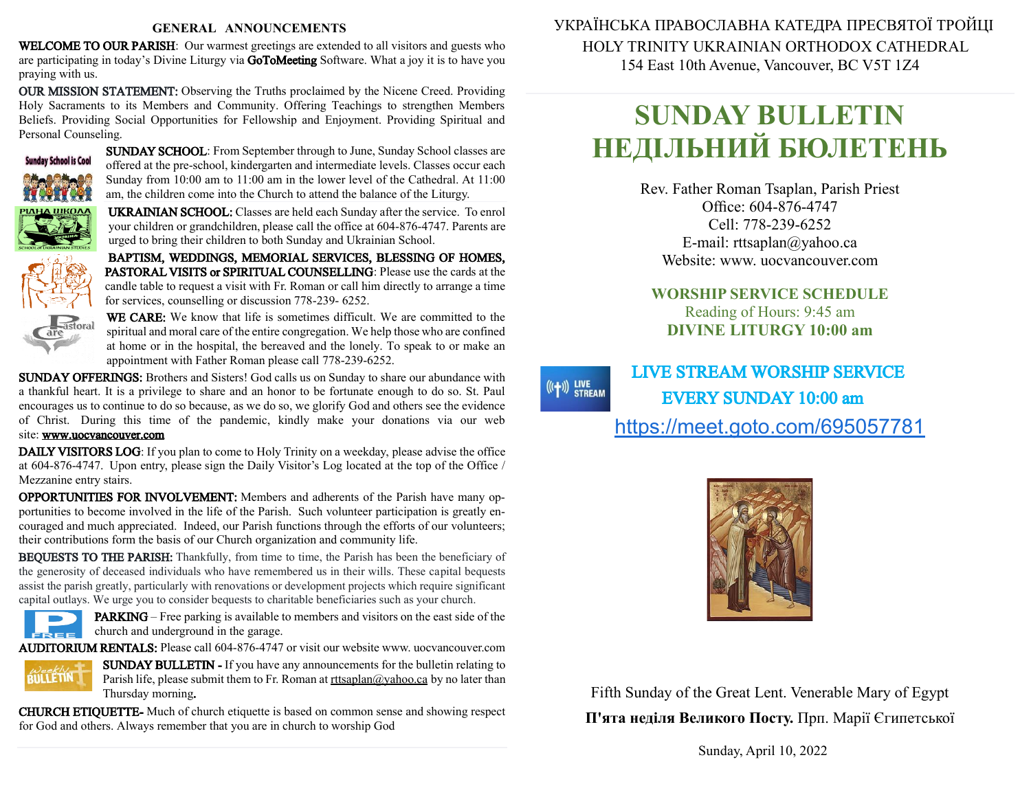#### **GENERAL ANNOUNCEMENTS**

WELCOME TO OUR PARISH: Our warmest greetings are extended to all visitors and guests who are participating in today's Divine Liturgy via GoToMeeting Software. What a joy it is to have you praying with us.

OUR MISSION STATEMENT: Observing the Truths proclaimed by the Nicene Creed. Providing Holy Sacraments to its Members and Community. Offering Teachings to strengthen Members Beliefs. Providing Social Opportunities for Fellowship and Enjoyment. Providing Spiritual and Personal Counseling.



SUNDAY SCHOOL: From September through to June, Sunday School classes are offered at the pre-school, kindergarten and intermediate levels. Classes occur each Sunday from 10:00 am to 11:00 am in the lower level of the Cathedral. At 11:00 am, the children come into the Church to attend the balance of the Liturgy.

UKRAINIAN SCHOOL: Classes are held each Sunday after the service. To enrol your children or grandchildren, please call the office at 604-876-4747. Parents are urged to bring their children to both Sunday and Ukrainian School.

BAPTISM, WEDDINGS, MEMORIAL SERVICES, BLESSING OF HOMES, PASTORAL VISITS or SPIRITUAL COUNSELLING: Please use the cards at the candle table to request a visit with Fr. Roman or call him directly to arrange a time for services, counselling or discussion 778-239- 6252.



WE CARE: We know that life is sometimes difficult. We are committed to the spiritual and moral care of the entire congregation. We help those who are confined at home or in the hospital, the bereaved and the lonely. To speak to or make an appointment with Father Roman please call 778-239-6252.

SUNDAY OFFERINGS: Brothers and Sisters! God calls us on Sunday to share our abundance with a thankful heart. It is a privilege to share and an honor to be fortunate enough to do so. St. Paul encourages us to continue to do sobecause, as we do so, we glorify God and others see the evidence of Christ. During this time of the pandemic, kindly make your donations via our web site: [www.uocvancouver.com](http://www.uocvancouver.com/) 

DAILY VISITORS LOG: If you plan to come to Holy Trinity on a weekday, please advise the office at 604-876-4747. Upon entry, please sign the Daily Visitor's Log located at the top of the Office / Mezzanine entry stairs.

OPPORTUNITIES FOR INVOLVEMENT: Members and adherents of the Parish have many opportunities to become involved in the life of the Parish. Such volunteer participation is greatly encouraged and much appreciated. Indeed, our Parish functions through the efforts of our volunteers; their contributions form the basis of our Church organization and community life.

BEQUESTS TO THE PARISH: Thankfully, from time to time, the Parish has been the beneficiary of the generosity of deceased individuals who have remembered us in their wills. These capital bequests assist the parish greatly, particularly with renovations or development projects which require significant capital outlays. We urge you to consider bequests to charitable beneficiaries such as your church.



PARKING –Free parking is available to members and visitors on the east side of the church and underground in the garage.

AUDITORIUM RENTALS: Please call 604-876-4747 or visit our website www. uocvancouver.com



SUNDAY BULLETIN - If you have any announcements for the bulletin relating to Parish life, please submit them to Fr. Roman at  $rtt \frac{\partial y}{\partial x}$  and  $\frac{\partial y}{\partial y}$  ho later than Thursday morning.

CHURCH ETIQUETTE- Much of church etiquette is based on common sense and showing respect for God and others. Always remember that you are in church to worship God

 УКРАЇНСЬКА ПРАВОСЛАВНА КАТЕДРА ПРЕСВЯТОЇ ТРОЙЦІ HOLY TRINITY UKRAINIAN ORTHODOX CATHEDRAL 154 East 10th Avenue, Vancouver, BC V5T 1Z4

# **SUNDAY BULLETIN НЕДІЛЬНИЙ БЮЛЕТЕНЬ**

Rev. Father Roman Tsaplan, Parish Priest Office: 604-876-4747 Cell: 778-239-6252 E-mail: rttsaplan@yahoo.ca Website: www. uocvancouver.com

### **WORSHIP SERVICE SCHEDULE** Reading of Hours: 9:45 am **DIVINE LITURGY 10:00 am**

## LIVE STREAM WORSHIP SERVICE EVERY SUNDAY 10:00 am <https://meet.goto.com/695057781>

 $((+))$  LIVE<br>STREAM



Fifth Sunday of the Great Lent. Venerable Mary of Egypt **П'ята неділя Великого Посту.** Прп. Марії Єгипетської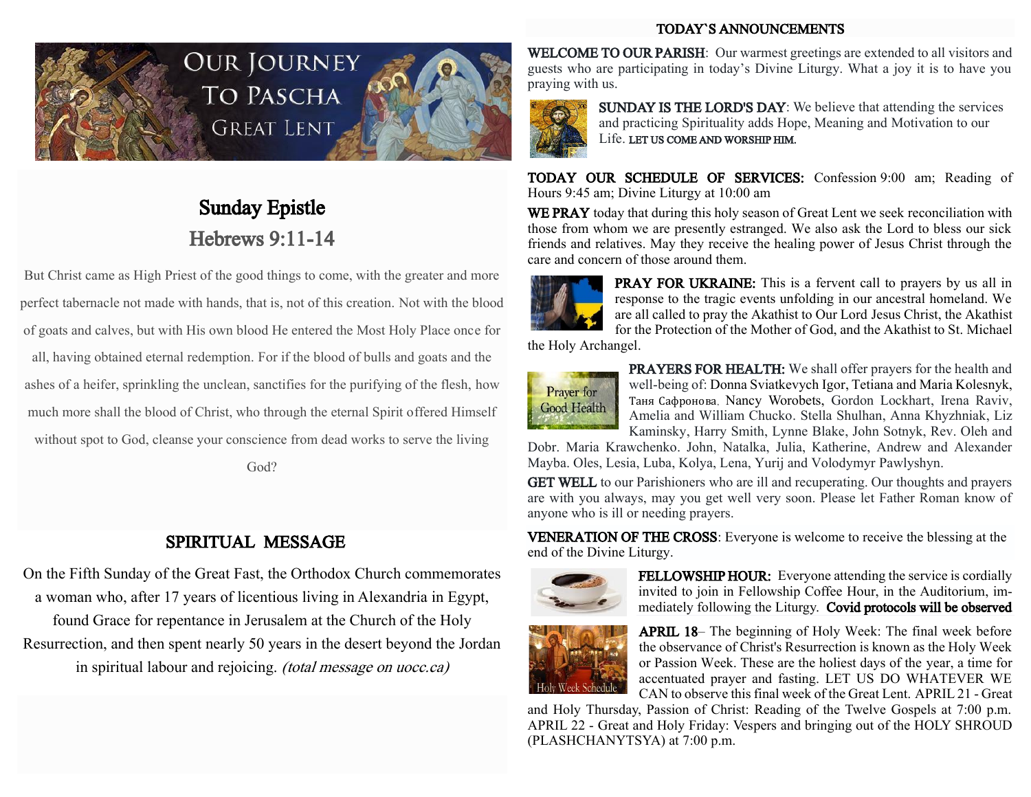### TODAY`S ANNOUNCEMENTS



# Our Journey **TO PASCHA GREAT LENT**



## Sunday Epistle Hebrews 9:11-14

But Christ came as High Priest of the good things to come, with the greater and more perfect tabernacle not made with hands, that is, not of this creation. Not with the blood of goats and calves, but with His own blood He entered the Most Holy Place once for all, having obtained eternal redemption.For if the blood of bulls and goats and the ashes of a heifer, sprinkling the unclean, sanctifies for the purifying of the flesh, how much more shall the blood of Christ, who through the eternal Spirit offered Himself without spot to God, cleanse your conscience from dead works to serve the living

God?

### SPIRITUAL MESSAGE

On the Fifth Sunday of the Great Fast, the Orthodox Church commemorates a woman who, after 17 years of licentious living in Alexandria in Egypt, found Grace for repentance in Jerusalem at the Church of the Holy Resurrection, and then spent nearly 50 years in the desert beyond the Jordan in spiritual labour and rejoicing. (total message on uocc.ca)

WELCOME TO OUR PARISH: Our warmest greetings are extended to all visitors and guests who are participating in today's Divine Liturgy. What a joy it is to have you praying with us.



SUNDAY IS THE LORD'S DAY: We believe that attending the services and practicing Spirituality adds Hope, Meaning and Motivation to our Life. LET US COME AND WORSHIP HIM.

TODAY OUR SCHEDULE OF SERVICES: Confession 9:00 am; Reading of Hours 9:45am; Divine Liturgy at 10:00 am

WE PRAY today that during this holy season of Great Lent we seek reconciliation with those from whom we are presently estranged. We also ask the Lord to bless our sick friends and relatives. May they receive the healing power of Jesus Christ through the care and concern of those around them.



PRAY FOR UKRAINE: This is a fervent call to prayers by us all in response to the tragic events unfolding in our ancestral homeland. We are all called to pray the Akathist to Our Lord Jesus Christ, the Akathist for the Protection of the Mother of God, and the Akathist to St. Michael

the Holy Archangel.



PRAYERS FOR HEALTH: We shall offer prayers for the health and well-being of: Donna Sviatkevych Igor, Tetiana and Maria Kolesnyk, Таня Сафронова, Nancy Worobets, Gordon Lockhart, Irena Raviv, Amelia and William Chucko. Stella Shulhan, Anna Khyzhniak, Liz Kaminsky, Harry Smith, Lynne Blake, John Sotnyk, Rev. Oleh and

Dobr. Maria Krawchenko. John, Natalka, Julia, Katherine, Andrew and Alexander Mayba. Oles, Lesia, Luba, Kolya, Lena, Yurij and Volodymyr Pawlyshyn.

GET WELL to our Parishioners who are ill and recuperating. Our thoughts and prayers are with you always, may you get well very soon. Please let Father Roman know of anyone who is ill or needing prayers.

VENERATION OF THE CROSS: Everyone is welcome to receive the blessing at the end of the Divine Liturgy.



FELLOWSHIP HOUR: Everyone attending the service is cordially invited to join in Fellowship Coffee Hour, in the Auditorium, immediately following the Liturgy. Covid protocols will be observed



APRIL 18– The beginning of Holy Week: The final week before the observance of Christ's Resurrection is known as the Holy Week or Passion Week. These are the holiest days of the year, a time for accentuated prayer and fasting. LET US DO WHATEVER WE CAN to observe this final week of the Great Lent. APRIL 21- Great

and Holy Thursday, Passion of Christ: Reading of the Twelve Gospels at 7:00 p.m. APRIL 22 - Great and Holy Friday: Vespers and bringing out of the HOLY SHROUD (PLASHCHANYTSYA) at 7:00 p.m.